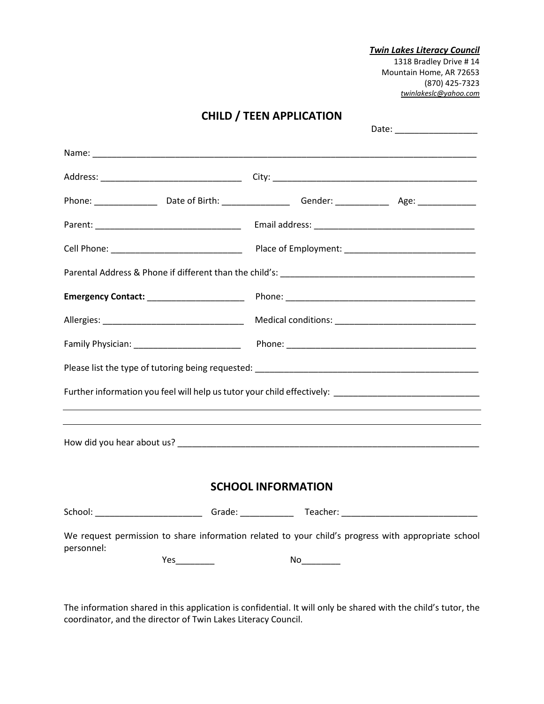*Twin Lakes Literacy Council* 1318 Bradley Drive # 14 Mountain Home, AR 72653 (870) 425-7323 *[twinlakeslc@yahoo.com](mailto:twinlakeslc@yahoo.com)*

|                                                                                                     |  | <b>VIIILD / ILLIVAL LIVATIVIV</b> |  |                                                                                                     |  |  |  |
|-----------------------------------------------------------------------------------------------------|--|-----------------------------------|--|-----------------------------------------------------------------------------------------------------|--|--|--|
|                                                                                                     |  |                                   |  |                                                                                                     |  |  |  |
|                                                                                                     |  |                                   |  |                                                                                                     |  |  |  |
|                                                                                                     |  |                                   |  |                                                                                                     |  |  |  |
|                                                                                                     |  |                                   |  |                                                                                                     |  |  |  |
|                                                                                                     |  |                                   |  |                                                                                                     |  |  |  |
|                                                                                                     |  |                                   |  |                                                                                                     |  |  |  |
|                                                                                                     |  |                                   |  |                                                                                                     |  |  |  |
|                                                                                                     |  |                                   |  |                                                                                                     |  |  |  |
|                                                                                                     |  |                                   |  |                                                                                                     |  |  |  |
|                                                                                                     |  |                                   |  |                                                                                                     |  |  |  |
|                                                                                                     |  |                                   |  |                                                                                                     |  |  |  |
|                                                                                                     |  |                                   |  | Further information you feel will help us tutor your child effectively: ___________________________ |  |  |  |
|                                                                                                     |  |                                   |  |                                                                                                     |  |  |  |
| <b>SCHOOL INFORMATION</b>                                                                           |  |                                   |  |                                                                                                     |  |  |  |
|                                                                                                     |  |                                   |  |                                                                                                     |  |  |  |
| We request permission to share information related to your child's progress with appropriate school |  |                                   |  |                                                                                                     |  |  |  |
| personnel:                                                                                          |  |                                   |  |                                                                                                     |  |  |  |

**CHILD / TEEN APPLICATION**

The information shared in this application is confidential. It will only be shared with the child's tutor, the coordinator, and the director of Twin Lakes Literacy Council.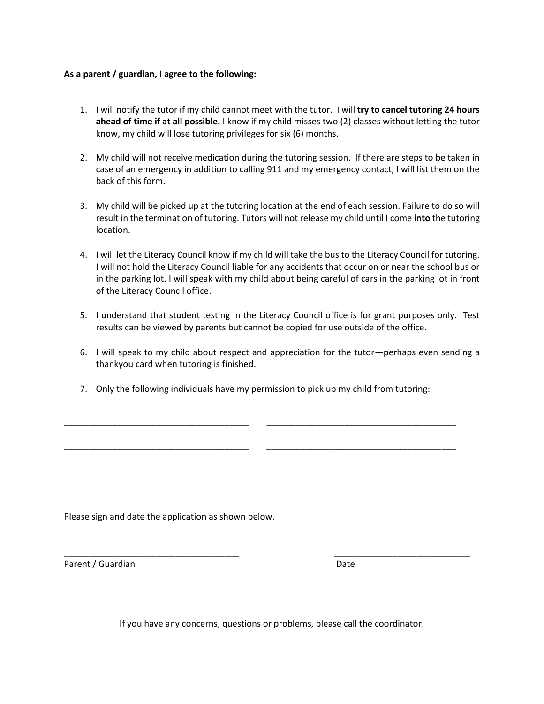## **As a parent / guardian, I agree to the following:**

- 1. I will notify the tutor if my child cannot meet with the tutor. I will **try to cancel tutoring 24 hours ahead of time if at all possible.** I know if my child misses two (2) classes without letting the tutor know, my child will lose tutoring privileges for six (6) months.
- 2. My child will not receive medication during the tutoring session. If there are steps to be taken in case of an emergency in addition to calling 911 and my emergency contact, I will list them on the back of this form.
- 3. My child will be picked up at the tutoring location at the end of each session. Failure to do so will result in the termination of tutoring. Tutors will not release my child until I come **into** the tutoring location.
- 4. I will let the Literacy Council know if my child will take the bus to the Literacy Council for tutoring. I will not hold the Literacy Council liable for any accidents that occur on or near the school bus or in the parking lot. I will speak with my child about being careful of cars in the parking lot in front of the Literacy Council office.
- 5. I understand that student testing in the Literacy Council office is for grant purposes only. Test results can be viewed by parents but cannot be copied for use outside of the office.
- 6. I will speak to my child about respect and appreciation for the tutor—perhaps even sending a thankyou card when tutoring is finished.
- 7. Only the following individuals have my permission to pick up my child from tutoring:

\_\_\_\_\_\_\_\_\_\_\_\_\_\_\_\_\_\_\_\_\_\_\_\_\_\_\_\_\_\_\_\_\_\_\_\_\_\_ \_\_\_\_\_\_\_\_\_\_\_\_\_\_\_\_\_\_\_\_\_\_\_\_\_\_\_\_\_\_\_\_\_\_\_\_\_\_\_

\_\_\_\_\_\_\_\_\_\_\_\_\_\_\_\_\_\_\_\_\_\_\_\_\_\_\_\_\_\_\_\_\_\_\_\_\_\_ \_\_\_\_\_\_\_\_\_\_\_\_\_\_\_\_\_\_\_\_\_\_\_\_\_\_\_\_\_\_\_\_\_\_\_\_\_\_\_

Please sign and date the application as shown below.

Parent / Guardian Date

If you have any concerns, questions or problems, please call the coordinator.

\_\_\_\_\_\_\_\_\_\_\_\_\_\_\_\_\_\_\_\_\_\_\_\_\_\_\_\_\_\_\_\_\_\_\_\_ \_\_\_\_\_\_\_\_\_\_\_\_\_\_\_\_\_\_\_\_\_\_\_\_\_\_\_\_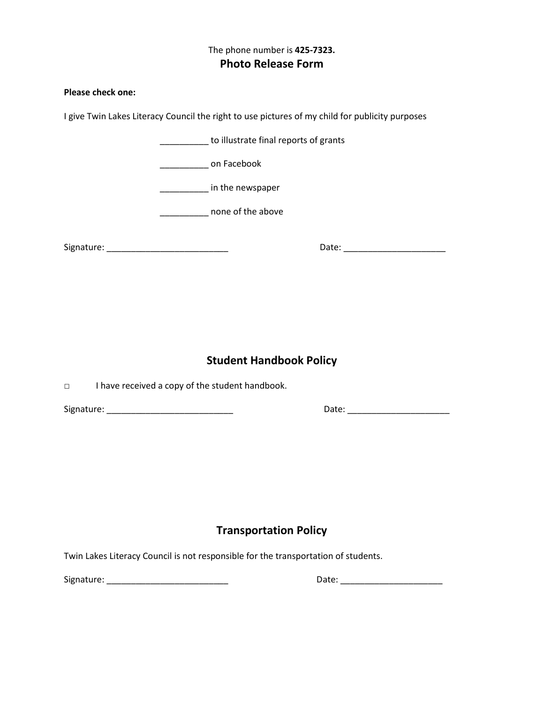## The phone number is **425-7323. Photo Release Form**

## **Please check one:**

I give Twin Lakes Literacy Council the right to use pictures of my child for publicity purposes

|                                                           | __________ to illustrate final reports of grants |                                   |  |  |  |  |
|-----------------------------------------------------------|--------------------------------------------------|-----------------------------------|--|--|--|--|
| __________________ on Facebook                            |                                                  |                                   |  |  |  |  |
|                                                           | in the newspaper                                 |                                   |  |  |  |  |
| none of the above                                         |                                                  |                                   |  |  |  |  |
|                                                           |                                                  | Date: ___________________________ |  |  |  |  |
|                                                           |                                                  |                                   |  |  |  |  |
|                                                           |                                                  |                                   |  |  |  |  |
|                                                           |                                                  |                                   |  |  |  |  |
| <b>Student Handbook Policy</b>                            |                                                  |                                   |  |  |  |  |
| I have received a copy of the student handbook.<br>$\Box$ |                                                  |                                   |  |  |  |  |
|                                                           |                                                  |                                   |  |  |  |  |
|                                                           |                                                  |                                   |  |  |  |  |
|                                                           |                                                  |                                   |  |  |  |  |
|                                                           |                                                  |                                   |  |  |  |  |
|                                                           |                                                  |                                   |  |  |  |  |
| <b>Transportation Policy</b>                              |                                                  |                                   |  |  |  |  |

Twin Lakes Literacy Council is not responsible for the transportation of students.

Signature: \_\_\_\_\_\_\_\_\_\_\_\_\_\_\_\_\_\_\_\_\_\_\_\_\_ Date: \_\_\_\_\_\_\_\_\_\_\_\_\_\_\_\_\_\_\_\_\_